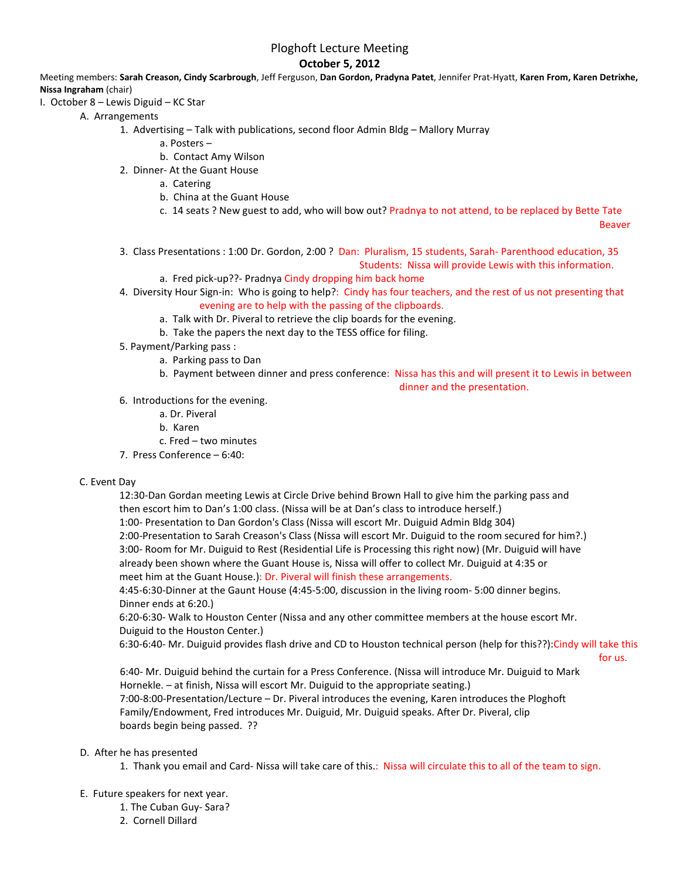# Ploghoft Lecture Meeting

## **October 5, 2012**

Meeting members: **Sarah Creason, Cindy Scarbrough**, Jeff Ferguson, **Dan Gordon, Pradyna Patet**, Jennifer Prat-Hyatt, **Karen From, Karen Detrixhe, Nissa Ingraham** (chair)

- I. October 8 Lewis Diguid KC Star
	- A. Arrangements
		- 1. Advertising Talk with publications, second floor Admin Bldg Mallory Murray
			- a. Posters –
			- b. Contact Amy Wilson
		- 2. Dinner- At the Guant House
			- a. Catering
			- b. China at the Guant House
			- c. 14 seats ? New guest to add, who will bow out? Pradnya to not attend, to be replaced by Bette Tate

Beaver

- 3. Class Presentations : 1:00 Dr. Gordon, 2:00 ? Dan: Pluralism, 15 students, Sarah- Parenthood education, 35 Students: Nissa will provide Lewis with this information.
	- a. Fred pick-up??- Pradnya Cindy dropping him back home
- 4. Diversity Hour Sign-in: Who is going to help?: Cindy has four teachers, and the rest of us not presenting that evening are to help with the passing of the clipboards.
	- a. Talk with Dr. Piveral to retrieve the clip boards for the evening.
	- b. Take the papers the next day to the TESS office for filing.
- 5. Payment/Parking pass :
	- a. Parking pass to Dan
	- b. Payment between dinner and press conference: Nissa has this and will present it to Lewis in between

dinner and the presentation.

- 6. Introductions for the evening.
	- a. Dr. Piveral
	- b. Karen
	- c. Fred two minutes
- 7. Press Conference 6:40:

#### C. Event Day

12:30-Dan Gordan meeting Lewis at Circle Drive behind Brown Hall to give him the parking pass and then escort him to Dan's 1:00 class. (Nissa will be at Dan's class to introduce herself.)

1:00- Presentation to Dan Gordon's Class (Nissa will escort Mr. Duiguid Admin Bldg 304)

2:00-Presentation to Sarah Creason's Class (Nissa will escort Mr. Duiguid to the room secured for him?.) 3:00- Room for Mr. Duiguid to Rest (Residential Life is Processing this right now) (Mr. Duiguid will have already been shown where the Guant House is, Nissa will offer to collect Mr. Duiguid at 4:35 or meet him at the Guant House.): Dr. Piveral will finish these arrangements.

4:45-6:30-Dinner at the Gaunt House (4:45-5:00, discussion in the living room- 5:00 dinner begins. Dinner ends at 6:20.)

6:20-6:30- Walk to Houston Center (Nissa and any other committee members at the house escort Mr. Duiguid to the Houston Center.)

6:30-6:40- Mr. Duiguid provides flash drive and CD to Houston technical person (help for this??):Cindy will take this

for us.

6:40- Mr. Duiguid behind the curtain for a Press Conference. (Nissa will introduce Mr. Duiguid to Mark Hornekle. – at finish, Nissa will escort Mr. Duiguid to the appropriate seating.) 7:00-8:00-Presentation/Lecture – Dr. Piveral introduces the evening, Karen introduces the Ploghoft Family/Endowment, Fred introduces Mr. Duiguid, Mr. Duiguid speaks. After Dr. Piveral, clip boards begin being passed. ??

#### D. After he has presented

- 1. Thank you email and Card- Nissa will take care of this.: Nissa will circulate this to all of the team to sign.
- E. Future speakers for next year.
	- 1. The Cuban Guy- Sara?
	- 2. Cornell Dillard